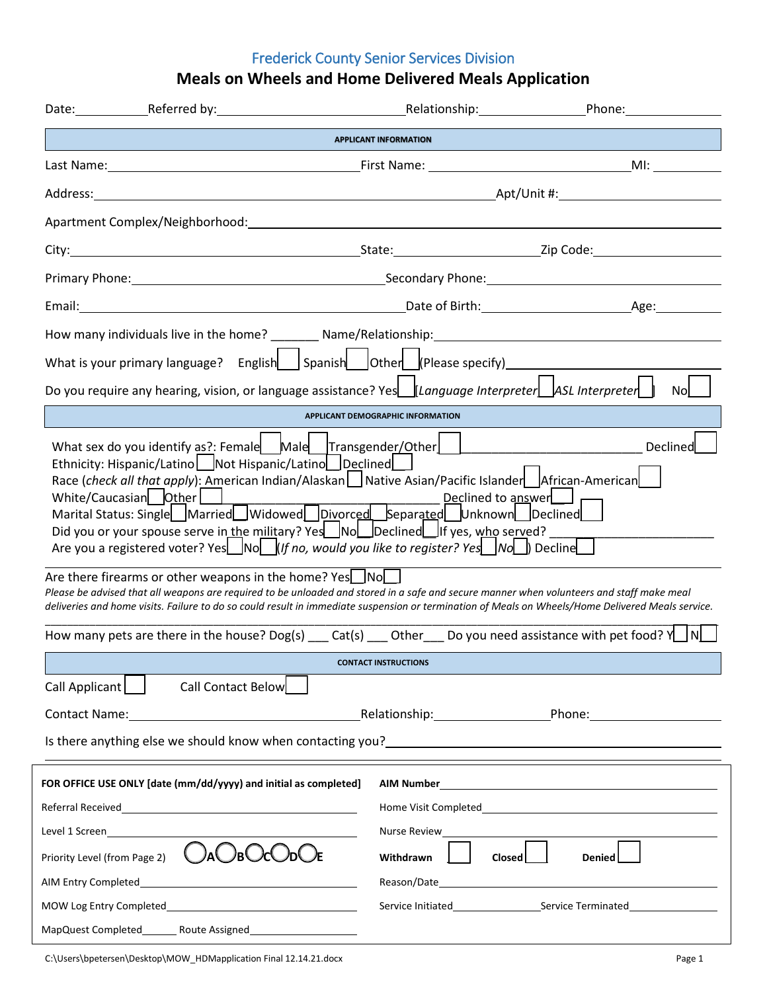# Frederick County Senior Services Division

# **Meals on Wheels and Home Delivered Meals Application**

|                                                                                                                                                                                                                                                                | Date: ___________Referred by:                                                                                                                                                                                                                                                                                                                                                                                                                                                                                                                                                                                                                                                                                                                                                                                                                                                                                                                  |  |                                                           |                         | Relationship: Phone: Phone: |
|----------------------------------------------------------------------------------------------------------------------------------------------------------------------------------------------------------------------------------------------------------------|------------------------------------------------------------------------------------------------------------------------------------------------------------------------------------------------------------------------------------------------------------------------------------------------------------------------------------------------------------------------------------------------------------------------------------------------------------------------------------------------------------------------------------------------------------------------------------------------------------------------------------------------------------------------------------------------------------------------------------------------------------------------------------------------------------------------------------------------------------------------------------------------------------------------------------------------|--|-----------------------------------------------------------|-------------------------|-----------------------------|
|                                                                                                                                                                                                                                                                |                                                                                                                                                                                                                                                                                                                                                                                                                                                                                                                                                                                                                                                                                                                                                                                                                                                                                                                                                |  | <b>APPLICANT INFORMATION</b>                              |                         |                             |
|                                                                                                                                                                                                                                                                |                                                                                                                                                                                                                                                                                                                                                                                                                                                                                                                                                                                                                                                                                                                                                                                                                                                                                                                                                |  |                                                           |                         |                             |
|                                                                                                                                                                                                                                                                |                                                                                                                                                                                                                                                                                                                                                                                                                                                                                                                                                                                                                                                                                                                                                                                                                                                                                                                                                |  |                                                           |                         |                             |
|                                                                                                                                                                                                                                                                |                                                                                                                                                                                                                                                                                                                                                                                                                                                                                                                                                                                                                                                                                                                                                                                                                                                                                                                                                |  |                                                           |                         |                             |
|                                                                                                                                                                                                                                                                |                                                                                                                                                                                                                                                                                                                                                                                                                                                                                                                                                                                                                                                                                                                                                                                                                                                                                                                                                |  |                                                           |                         |                             |
|                                                                                                                                                                                                                                                                |                                                                                                                                                                                                                                                                                                                                                                                                                                                                                                                                                                                                                                                                                                                                                                                                                                                                                                                                                |  |                                                           |                         |                             |
|                                                                                                                                                                                                                                                                |                                                                                                                                                                                                                                                                                                                                                                                                                                                                                                                                                                                                                                                                                                                                                                                                                                                                                                                                                |  |                                                           |                         |                             |
|                                                                                                                                                                                                                                                                |                                                                                                                                                                                                                                                                                                                                                                                                                                                                                                                                                                                                                                                                                                                                                                                                                                                                                                                                                |  |                                                           |                         |                             |
|                                                                                                                                                                                                                                                                |                                                                                                                                                                                                                                                                                                                                                                                                                                                                                                                                                                                                                                                                                                                                                                                                                                                                                                                                                |  |                                                           |                         |                             |
|                                                                                                                                                                                                                                                                | Do you require any hearing, vision, or language assistance? Yes   Language Interpreter    ASL Interpreter                                                                                                                                                                                                                                                                                                                                                                                                                                                                                                                                                                                                                                                                                                                                                                                                                                      |  |                                                           |                         | <b>No</b>                   |
|                                                                                                                                                                                                                                                                |                                                                                                                                                                                                                                                                                                                                                                                                                                                                                                                                                                                                                                                                                                                                                                                                                                                                                                                                                |  | <b>APPLICANT DEMOGRAPHIC INFORMATION</b>                  |                         |                             |
|                                                                                                                                                                                                                                                                | Race (check all that apply): American Indian/Alaskan   Native Asian/Pacific Islander   African-American<br>White/Caucasian Other 1<br>Marital Status: Single Married Widowed Divorced Separated Unknown Declined<br>Did you or your spouse serve in the military? Yes No Declined If yes, who served?<br>Are you a registered voter? Yes $\Box$ No $\Box$ (If no, would you like to register? Yes $\Box$ No $\Box$ ) Decline<br>Are there firearms or other weapons in the home? Yes No<br>Please be advised that all weapons are required to be unloaded and stored in a safe and secure manner when volunteers and staff make meal<br>deliveries and home visits. Failure to do so could result in immediate suspension or termination of Meals on Wheels/Home Delivered Meals service.<br>How many pets are there in the house? Dog(s) $\qquad$ Cat(s) $\qquad$ Other $\qquad$ Do you need assistance with pet food? $\sqrt{ \mathcal{N} }$ |  | Declined to answer<br><b>CONTACT INSTRUCTIONS</b>         |                         |                             |
| Call Applicant                                                                                                                                                                                                                                                 | Call Contact Below                                                                                                                                                                                                                                                                                                                                                                                                                                                                                                                                                                                                                                                                                                                                                                                                                                                                                                                             |  |                                                           |                         |                             |
| Contact Name:                                                                                                                                                                                                                                                  |                                                                                                                                                                                                                                                                                                                                                                                                                                                                                                                                                                                                                                                                                                                                                                                                                                                                                                                                                |  | Relationship: Phone: Phone:                               |                         |                             |
| Is there anything else we should know when contacting you?<br><u>Letting with an announ and an announ and an announ and an announ and</u> the should know when the state of the sta                                                                            |                                                                                                                                                                                                                                                                                                                                                                                                                                                                                                                                                                                                                                                                                                                                                                                                                                                                                                                                                |  |                                                           |                         |                             |
| Level 1 Screen and the state of the state of the state of the state of the state of the state of the state of the state of the state of the state of the state of the state of the state of the state of the state of the stat<br>Priority Level (from Page 2) | FOR OFFICE USE ONLY [date (mm/dd/yyyy) and initial as completed]<br>)aC<br>/bC                                                                                                                                                                                                                                                                                                                                                                                                                                                                                                                                                                                                                                                                                                                                                                                                                                                                 |  | <b>AIM Number AIM Number</b><br>Nurse Review<br>Withdrawn | <b>Closed</b><br>Denied |                             |
| MOW Log Entry Completed                                                                                                                                                                                                                                        | <u> 1989 - Johann Barbara, martin a</u>                                                                                                                                                                                                                                                                                                                                                                                                                                                                                                                                                                                                                                                                                                                                                                                                                                                                                                        |  |                                                           |                         |                             |
| MapQuest Completed______                                                                                                                                                                                                                                       | Route Assigned                                                                                                                                                                                                                                                                                                                                                                                                                                                                                                                                                                                                                                                                                                                                                                                                                                                                                                                                 |  |                                                           |                         |                             |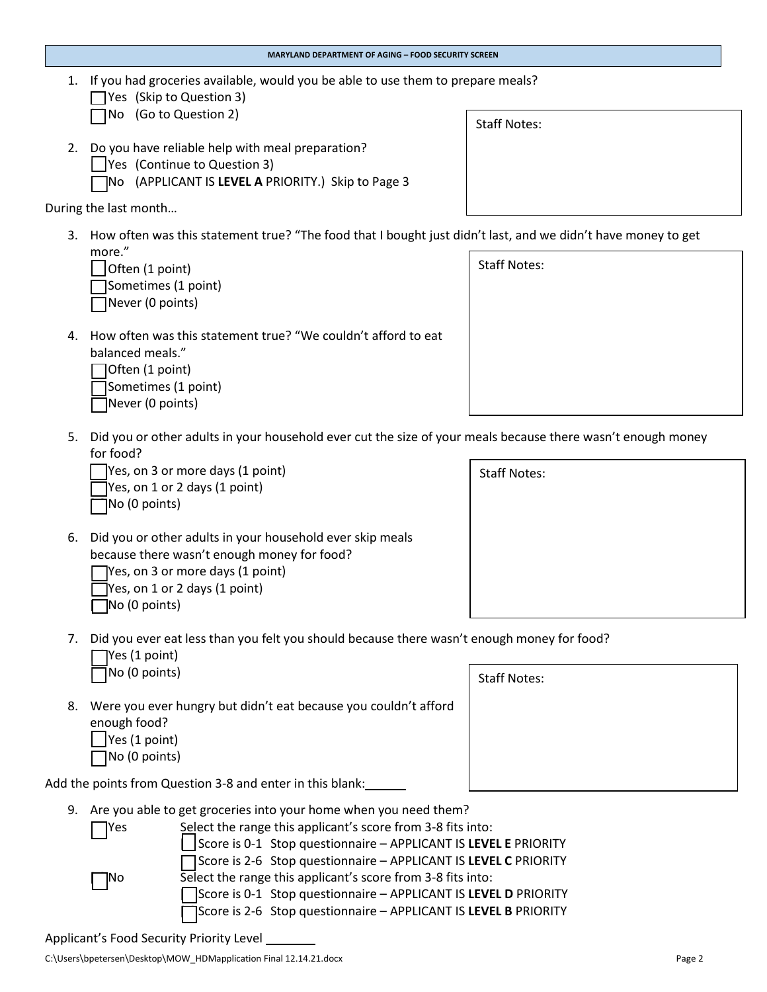**MARYLAND DEPARTMENT OF AGING – FOOD SECURITY SCREEN**

1. If you had groceries available, would you be able to use them to prepare meals?

| $\Box$ Yes (Skip to Question 3) |
|---------------------------------|
| □ No (Go to Question 2)         |

- 2. Do you have reliable help with meal preparation?
	- [ ] Yes (Continue to Question 3)
	- [ ] No (APPLICANT IS **LEVEL A** PRIORITY.) Skip to Page 3

During the last month…

3. How often was this statement true? "The food that I bought just didn't last, and we didn't have money to get more." Staff Notes:

| Often (1 point)     |
|---------------------|
| Sometimes (1 point) |
| Never (0 points)    |

4. How often was this statement true? "We couldn't afford to eat balanced meals."

| $\bigcap$ Often (1 point) |
|---------------------------|
| □Sometimes (1 point)      |
| Never (0 points)          |

5. Did you or other adults in your household ever cut the size of your meals because there wasn't enough money for food?

| Yes, on 3 or more days (1 point)     |
|--------------------------------------|
| $\Box$ Yes, on 1 or 2 days (1 point) |
| $\Box$ No (0 points)                 |

- 6. Did you or other adults in your household ever skip meals because there wasn't enough money for food? Tyes, on 3 or more days (1 point)  $\sqrt{ }$  Yes, on 1 or 2 days (1 point)  $\Box$  No (0 points)
- 7. Did you ever eat less than you felt you should because there wasn't enough money for food?  $\Box$  Yes (1 point)

|  | No (0 points) |  |
|--|---------------|--|
|  |               |  |
|  |               |  |

- 8. Were you ever hungry but didn't eat because you couldn't afford enough food?  $\vert$  Yes (1 point)
	- [ ] No (0 points)

Add the points from Question 3-8 and enter in this blank:

- 9. Are you able to get groceries into your home when you need them?
	- [Yes Select the range this applicant's score from 3-8 fits into: [ ] Score is 0-1 Stop questionnaire – APPLICANT IS **LEVEL E** PRIORITY [ ] Score is 2-6 Stop questionnaire – APPLICANT IS **LEVEL C** PRIORITY [ ] No Select the range this applicant's score from 3-8 fits into: [ ] Score is 0-1 Stop questionnaire – APPLICANT IS **LEVEL D** PRIORITY [ ] Score is 2-6 Stop questionnaire – APPLICANT IS **LEVEL B** PRIORITY

Staff Notes:



Staff Notes: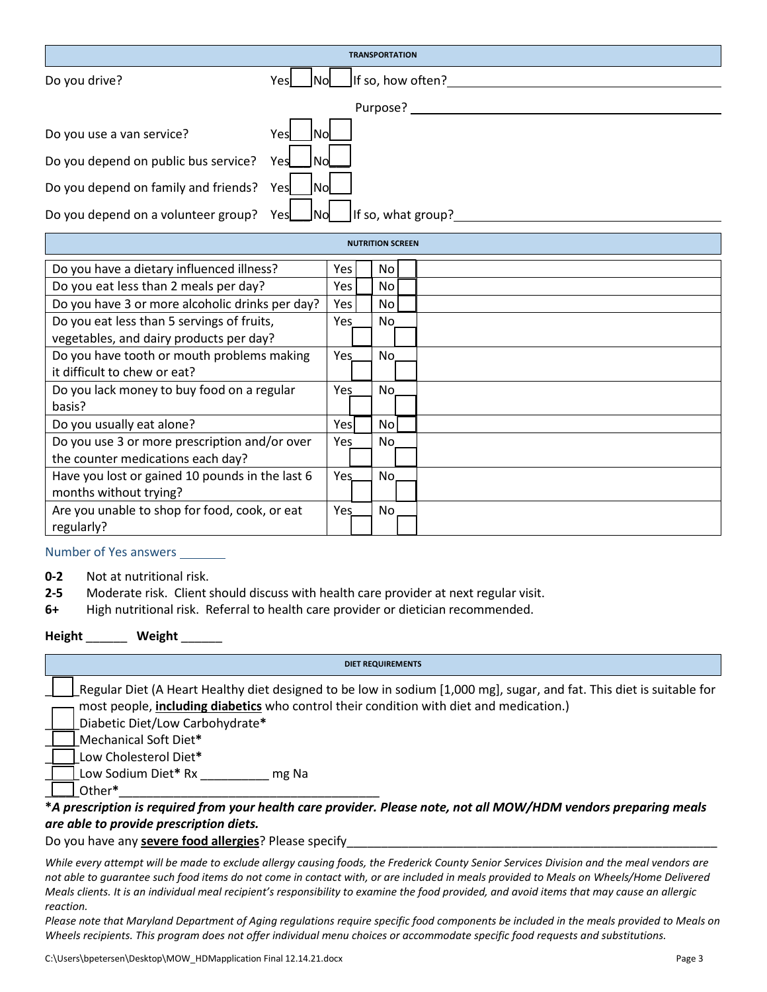|                                      | <b>TRANSPORTATION</b>                   |
|--------------------------------------|-----------------------------------------|
| Do you drive?                        | If so, how often?<br>Yesl<br>INol.      |
|                                      | Purpose?                                |
| Do you use a van service?            | Yesl<br>INol                            |
| Do you depend on public bus service? | <b>No</b><br>Yes                        |
| Do you depend on family and friends? | Yesl<br><b>INol</b>                     |
| Do you depend on a volunteer group?  | If so, what group?<br><b>INO</b><br>Yes |

|                                                 |      | <b>NUTRITION SCREEN</b> |  |
|-------------------------------------------------|------|-------------------------|--|
| Do you have a dietary influenced illness?       | Yes. | No l                    |  |
| Do you eat less than 2 meals per day?           | Yes  | No l                    |  |
| Do you have 3 or more alcoholic drinks per day? | Yes  | No l                    |  |
| Do you eat less than 5 servings of fruits,      | Yes  | No.                     |  |
| vegetables, and dairy products per day?         |      |                         |  |
| Do you have tooth or mouth problems making      | Yes  | No.                     |  |
| it difficult to chew or eat?                    |      |                         |  |
| Do you lack money to buy food on a regular      | Yes  | No.                     |  |
| basis?                                          |      |                         |  |
| Do you usually eat alone?                       | Yesl | No l                    |  |
| Do you use 3 or more prescription and/or over   | Yes  | No.                     |  |
| the counter medications each day?               |      |                         |  |
| Have you lost or gained 10 pounds in the last 6 | Yes. | No.                     |  |
| months without trying?                          |      |                         |  |
| Are you unable to shop for food, cook, or eat   | Yes  | No.                     |  |
| regularly?                                      |      |                         |  |

### Number of Yes answers

- **0-2** Not at nutritional risk.
- **2-5** Moderate risk. Client should discuss with health care provider at next regular visit.
- **6+** High nutritional risk. Referral to health care provider or dietician recommended.

## **Height** \_\_\_\_\_\_ **Weight** \_\_\_\_\_\_

#### **DIET REQUIREMENTS**

|   | Regular Diet (A Heart Healthy diet designed to be low in sodium [1,000 mg], sugar, and fat. This diet is suitable for |  |
|---|-----------------------------------------------------------------------------------------------------------------------|--|
|   | most people, including diabetics who control their condition with diet and medication.)                               |  |
|   | Diabetic Diet/Low Carbohydrate*                                                                                       |  |
|   | Mechanical Soft Diet*                                                                                                 |  |
|   | Low Cholesterol Diet*                                                                                                 |  |
|   | Low Sodium Diet* Rx<br>mg Na                                                                                          |  |
|   | Other*                                                                                                                |  |
| . | . .<br>.                                                                                                              |  |

## **\****A prescription is required from your health care provider. Please note, not all MOW/HDM vendors preparing meals are able to provide prescription diets.*

## Do you have any **severe food allergies**? Please specify

*While every attempt will be made to exclude allergy causing foods, the Frederick County Senior Services Division and the meal vendors are not able to guarantee such food items do not come in contact with, or are included in meals provided to Meals on Wheels/Home Delivered Meals clients. It is an individual meal recipient's responsibility to examine the food provided, and avoid items that may cause an allergic reaction.*

*Please note that Maryland Department of Aging regulations require specific food components be included in the meals provided to Meals on Wheels recipients. This program does not offer individual menu choices or accommodate specific food requests and substitutions.*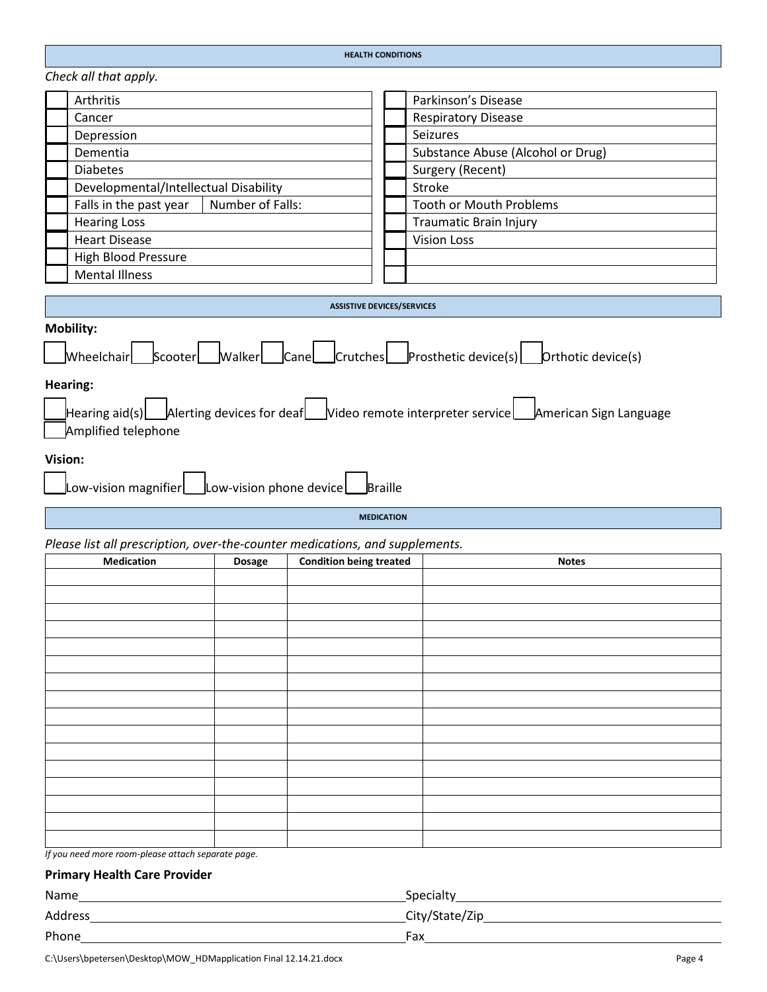| <b>HEALTH CONDITIONS</b> |
|--------------------------|
|                          |

*Check all that apply.*

| Arthritis                                  | Parkinson's Disease               |
|--------------------------------------------|-----------------------------------|
| Cancer                                     | <b>Respiratory Disease</b>        |
| Depression                                 | Seizures                          |
| Dementia                                   | Substance Abuse (Alcohol or Drug) |
| <b>Diabetes</b>                            | Surgery (Recent)                  |
| Developmental/Intellectual Disability      | Stroke                            |
| Falls in the past year<br>Number of Falls: | <b>Tooth or Mouth Problems</b>    |
| <b>Hearing Loss</b>                        | <b>Traumatic Brain Injury</b>     |
| <b>Heart Disease</b>                       | <b>Vision Loss</b>                |
| <b>High Blood Pressure</b>                 |                                   |
| <b>Mental Illness</b>                      |                                   |
|                                            |                                   |
|                                            | <b>ASSISTIVE DEVICES/SERVICES</b> |

| <b>Mobility:</b>                                                                                                        |
|-------------------------------------------------------------------------------------------------------------------------|
| Wheelchair Scooter Walker Cane Crutches Prosthetic device(s) Orthotic device(s)                                         |
| Hearing:                                                                                                                |
| Hearing aid(s) Alerting devices for deaf Video remote interpreter service American Sign Language<br>Amplified telephone |
| Vision:                                                                                                                 |
| Low-vision magnifier Low-vision phone device Braille                                                                    |
|                                                                                                                         |

**MEDICATION**

*Please list all prescription, over-the-counter medications, and supplements.*

| rease not an presemption, over the counter meandations, and supprements.<br><b>Medication</b> | <b>Dosage</b> | <b>Condition being treated</b> | <b>Notes</b> |
|-----------------------------------------------------------------------------------------------|---------------|--------------------------------|--------------|
|                                                                                               |               |                                |              |
|                                                                                               |               |                                |              |
|                                                                                               |               |                                |              |
|                                                                                               |               |                                |              |
|                                                                                               |               |                                |              |
|                                                                                               |               |                                |              |
|                                                                                               |               |                                |              |
|                                                                                               |               |                                |              |
|                                                                                               |               |                                |              |
|                                                                                               |               |                                |              |
|                                                                                               |               |                                |              |
|                                                                                               |               |                                |              |
|                                                                                               |               |                                |              |
|                                                                                               |               |                                |              |
|                                                                                               |               |                                |              |
|                                                                                               |               |                                |              |
|                                                                                               |               |                                |              |
|                                                                                               |               |                                |              |
|                                                                                               |               |                                |              |

*If you need more room-please attach separate page.*

## **Primary Health Care Provider**

| Name    | Specialty      |
|---------|----------------|
| Address | City/State/Zip |
| Phone   | Fax            |